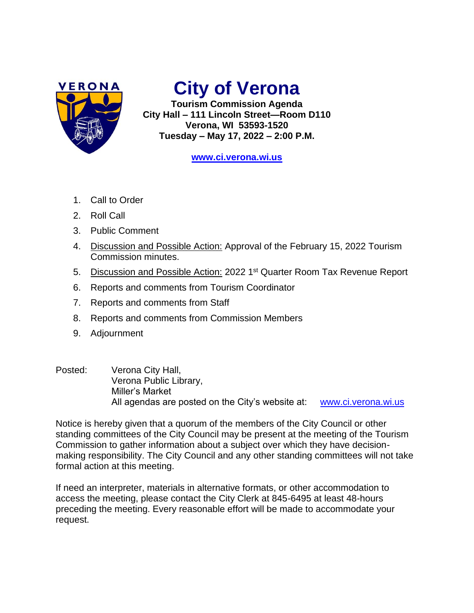

## **City of Verona**

**Tourism Commission Agenda City Hall – 111 Lincoln Street—Room D110 Verona, WI 53593-1520 Tuesday – May 17, 2022 – 2:00 P.M.**

**[www.ci.verona.wi.us](http://www.ci.verona.wi.us/)**

- 1. Call to Order
- 2. Roll Call
- 3. Public Comment
- 4. Discussion and Possible Action: Approval of the February 15, 2022 Tourism Commission minutes.
- 5. Discussion and Possible Action: 2022 1<sup>st</sup> Quarter Room Tax Revenue Report
- 6. Reports and comments from Tourism Coordinator
- 7. Reports and comments from Staff
- 8. Reports and comments from Commission Members
- 9. Adjournment
- Posted: Verona City Hall, Verona Public Library, Miller's Market All agendas are posted on the City's website at: [www.ci.verona.wi.us](http://www.ci.verona.wi.us/)

Notice is hereby given that a quorum of the members of the City Council or other standing committees of the City Council may be present at the meeting of the Tourism Commission to gather information about a subject over which they have decisionmaking responsibility. The City Council and any other standing committees will not take formal action at this meeting.

If need an interpreter, materials in alternative formats, or other accommodation to access the meeting, please contact the City Clerk at 845-6495 at least 48-hours preceding the meeting. Every reasonable effort will be made to accommodate your request.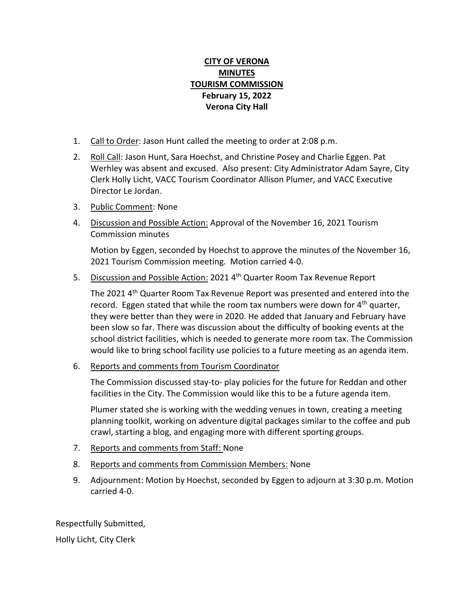## **CITY OF VERONA MINUTES TOURISM COMMISSION February 15, 2022 Verona City Hall**

- 1. Call to Order: Jason Hunt called the meeting to order at 2:08 p.m.
- 2. Roll Call: Jason Hunt, Sara Hoechst, and Christine Posey and Charlie Eggen. Pat Werhley was absent and excused. Also present: City Administrator Adam Sayre, City Clerk Holly Licht, VACC Tourism Coordinator Allison Plumer, and VACC Executive Director Le Jordan.
- 3. Public Comment: None
- 4. Discussion and Possible Action: Approval of the November 16, 2021 Tourism Commission minutes

Motion by Eggen, seconded by Hoechst to approve the minutes of the November 16, 2021 Tourism Commission meeting. Motion carried 4-0.

5. Discussion and Possible Action: 2021 4<sup>th</sup> Quarter Room Tax Revenue Report

The 2021 4<sup>th</sup> Quarter Room Tax Revenue Report was presented and entered into the record. Eggen stated that while the room tax numbers were down for 4<sup>th</sup> quarter, they were better than they were in 2020. He added that January and February have been slow so far. There was discussion about the difficulty of booking events at the school district facilities, which is needed to generate more room tax. The Commission would like to bring school facility use policies to a future meeting as an agenda item.

6. Reports and comments from Tourism Coordinator

The Commission discussed stay-to- play policies for the future for Reddan and other facilities in the City. The Commission would like this to be a future agenda item.

Plumer stated she is working with the wedding venues in town, creating a meeting planning toolkit, working on adventure digital packages similar to the coffee and pub crawl, starting a blog, and engaging more with different sporting groups.

- 7. Reports and comments from Staff: None
- 8. Reports and comments from Commission Members: None
- 9. Adjournment: Motion by Hoechst, seconded by Eggen to adjourn at 3:30 p.m. Motion carried 4-0.

Respectfully Submitted,

Holly Licht, City Clerk